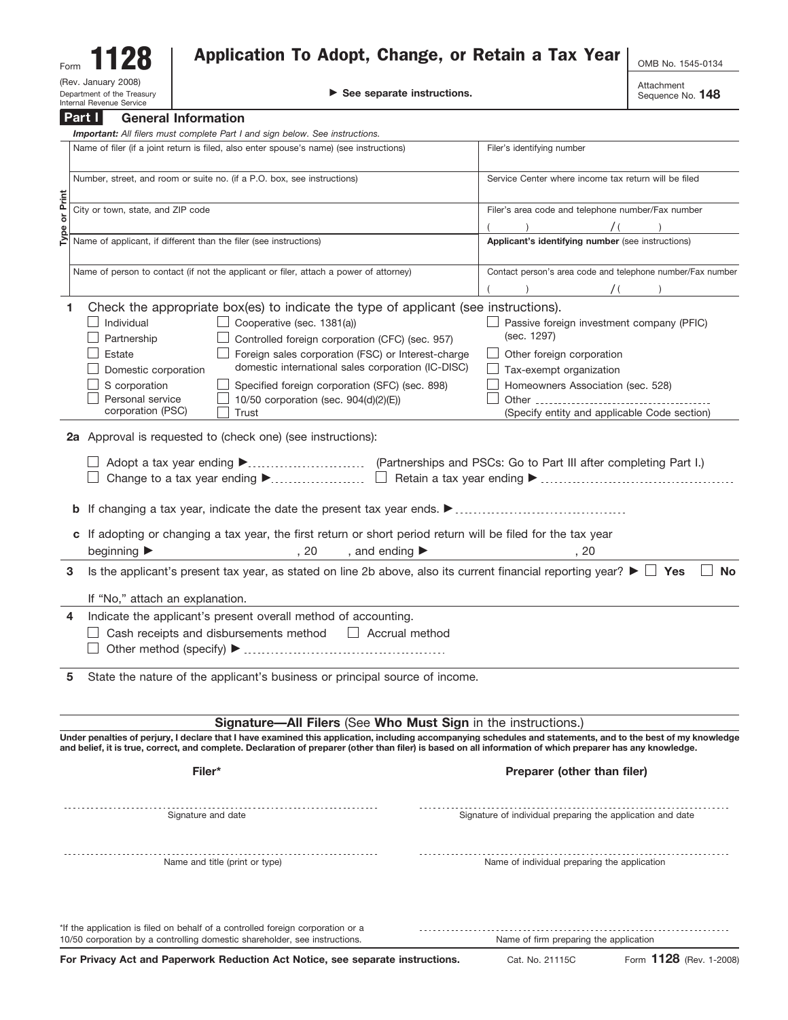| Form <b>1128</b> | Application To Adopt, Change, or Retain a Tax Year | OMB No. 1545-0134 |
|------------------|----------------------------------------------------|-------------------|
|                  |                                                    |                   |

| DovH                |                                                       |
|---------------------|-------------------------------------------------------|
|                     | Department of the Treasur<br>Internal Revenue Service |
| (Rev. January 2008) |                                                       |
| Form                | . .                                                   |

 $\mathbb{R}^N$   $\blacksquare$ 

Attachment Sequence No. **148**

|          | Part I<br><b>General Information</b>                                                                                                                                                                                                                                                                                        |                                                            |
|----------|-----------------------------------------------------------------------------------------------------------------------------------------------------------------------------------------------------------------------------------------------------------------------------------------------------------------------------|------------------------------------------------------------|
|          | Important: All filers must complete Part I and sign below. See instructions.                                                                                                                                                                                                                                                |                                                            |
|          | Name of filer (if a joint return is filed, also enter spouse's name) (see instructions)                                                                                                                                                                                                                                     | Filer's identifying number                                 |
|          | Number, street, and room or suite no. (if a P.O. box, see instructions)                                                                                                                                                                                                                                                     | Service Center where income tax return will be filed       |
| or Print | City or town, state, and ZIP code                                                                                                                                                                                                                                                                                           | Filer's area code and telephone number/Fax number          |
|          |                                                                                                                                                                                                                                                                                                                             | $\prime$ (                                                 |
| Type     | Name of applicant, if different than the filer (see instructions)                                                                                                                                                                                                                                                           | Applicant's identifying number (see instructions)          |
|          | Name of person to contact (if not the applicant or filer, attach a power of attorney)                                                                                                                                                                                                                                       | Contact person's area code and telephone number/Fax number |
|          |                                                                                                                                                                                                                                                                                                                             | $\sqrt{2}$                                                 |
|          | Check the appropriate box(es) to indicate the type of applicant (see instructions).                                                                                                                                                                                                                                         |                                                            |
| 1.       | Cooperative (sec. 1381(a))<br>Individual                                                                                                                                                                                                                                                                                    | $\Box$ Passive foreign investment company (PFIC)           |
|          | $\Box$ Controlled foreign corporation (CFC) (sec. 957)<br>Partnership                                                                                                                                                                                                                                                       | (sec. 1297)                                                |
|          | Foreign sales corporation (FSC) or Interest-charge<br>Estate                                                                                                                                                                                                                                                                |                                                            |
|          | domestic international sales corporation (IC-DISC)                                                                                                                                                                                                                                                                          | Other foreign corporation                                  |
|          | Domestic corporation                                                                                                                                                                                                                                                                                                        | Tax-exempt organization                                    |
|          | S corporation<br>Specified foreign corporation (SFC) (sec. 898)                                                                                                                                                                                                                                                             | Homeowners Association (sec. 528)                          |
|          | Personal service<br>10/50 corporation (sec. 904(d)(2)(E))<br>corporation (PSC)<br>Trust                                                                                                                                                                                                                                     | (Specify entity and applicable Code section)               |
|          |                                                                                                                                                                                                                                                                                                                             |                                                            |
|          | 2a Approval is requested to (check one) (see instructions):                                                                                                                                                                                                                                                                 |                                                            |
|          |                                                                                                                                                                                                                                                                                                                             |                                                            |
|          |                                                                                                                                                                                                                                                                                                                             |                                                            |
|          | c If adopting or changing a tax year, the first return or short period return will be filed for the tax year                                                                                                                                                                                                                |                                                            |
|          | beginning ▶<br>, and ending $\blacktriangleright$<br>,20                                                                                                                                                                                                                                                                    | ,20                                                        |
|          |                                                                                                                                                                                                                                                                                                                             | <b>No</b>                                                  |
| 3        | Is the applicant's present tax year, as stated on line 2b above, also its current financial reporting year? $\blacktriangleright \Box$ Yes                                                                                                                                                                                  |                                                            |
|          | If "No," attach an explanation.                                                                                                                                                                                                                                                                                             |                                                            |
| 4        | Indicate the applicant's present overall method of accounting.                                                                                                                                                                                                                                                              |                                                            |
|          | $\Box$ Cash receipts and disbursements method $\Box$ Accrual method                                                                                                                                                                                                                                                         |                                                            |
|          |                                                                                                                                                                                                                                                                                                                             |                                                            |
|          |                                                                                                                                                                                                                                                                                                                             |                                                            |
| 5        | State the nature of the applicant's business or principal source of income.                                                                                                                                                                                                                                                 |                                                            |
|          |                                                                                                                                                                                                                                                                                                                             |                                                            |
|          | Signature-All Filers (See Who Must Sign in the instructions.)                                                                                                                                                                                                                                                               |                                                            |
|          | Under penalties of perjury, I declare that I have examined this application, including accompanying schedules and statements, and to the best of my knowledge<br>and belief, it is true, correct, and complete. Declaration of preparer (other than filer) is based on all information of which preparer has any knowledge. |                                                            |
|          |                                                                                                                                                                                                                                                                                                                             |                                                            |
|          | Filer*                                                                                                                                                                                                                                                                                                                      | Preparer (other than filer)                                |
|          | Signature and date                                                                                                                                                                                                                                                                                                          | Signature of individual preparing the application and date |
|          |                                                                                                                                                                                                                                                                                                                             |                                                            |
|          | Name and title (print or type)                                                                                                                                                                                                                                                                                              | Name of individual preparing the application               |
|          |                                                                                                                                                                                                                                                                                                                             |                                                            |
|          | *If the application is filed on behalf of a controlled foreign corporation or a                                                                                                                                                                                                                                             |                                                            |

10/50 corporation by a controlling domestic shareholder, see instructions.

Name of firm preparing the application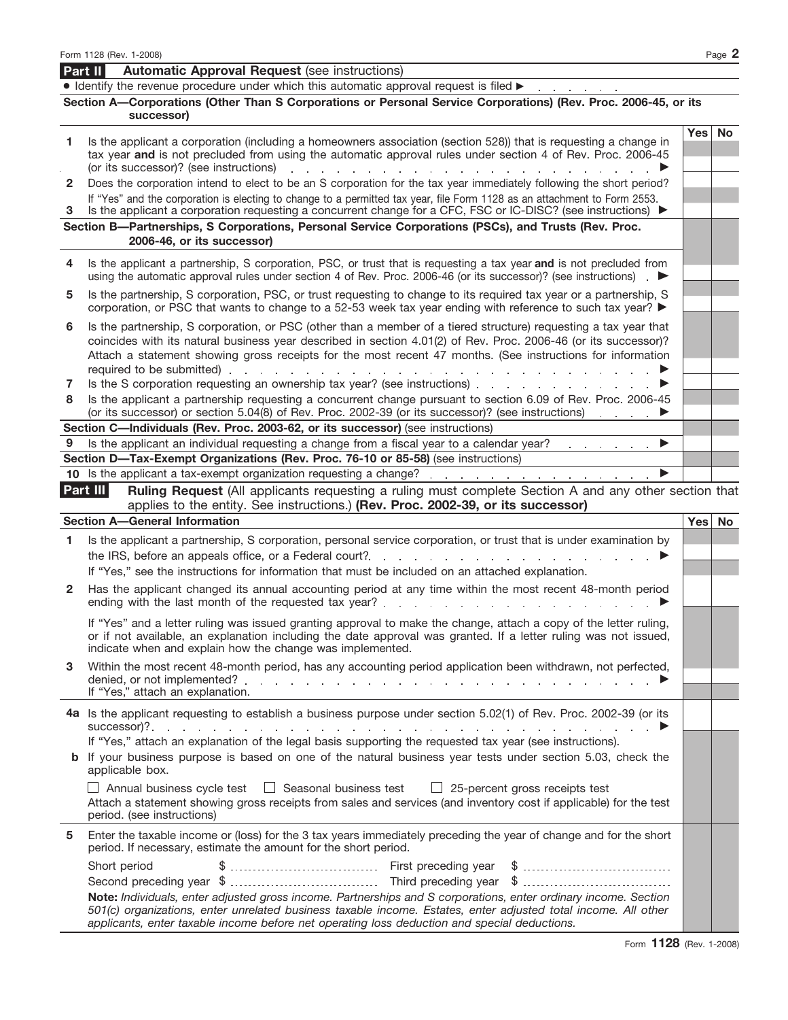|        | • Identify the revenue procedure under which this automatic approval request is filed $\blacktriangleright$                                                                                                                                                                                                                                                                    |            |           |
|--------|--------------------------------------------------------------------------------------------------------------------------------------------------------------------------------------------------------------------------------------------------------------------------------------------------------------------------------------------------------------------------------|------------|-----------|
|        | Section A-Corporations (Other Than S Corporations or Personal Service Corporations) (Rev. Proc. 2006-45, or its<br>successor)                                                                                                                                                                                                                                                  |            |           |
| 1.     | Is the applicant a corporation (including a homeowners association (section 528)) that is requesting a change in<br>tax year and is not precluded from using the automatic approval rules under section 4 of Rev. Proc. 2006-45<br>(or its successor)? (see instructions)<br>and the state of the state of the state                                                           | <b>Yes</b> | <b>No</b> |
| 2      | Does the corporation intend to elect to be an S corporation for the tax year immediately following the short period?                                                                                                                                                                                                                                                           |            |           |
|        | If "Yes" and the corporation is electing to change to a permitted tax year, file Form 1128 as an attachment to Form 2553.                                                                                                                                                                                                                                                      |            |           |
| З      | Is the applicant a corporation requesting a concurrent change for a CFC, FSC or IC-DISC? (see instructions) ▶<br>Section B-Partnerships, S Corporations, Personal Service Corporations (PSCs), and Trusts (Rev. Proc.                                                                                                                                                          |            |           |
|        | 2006-46, or its successor)                                                                                                                                                                                                                                                                                                                                                     |            |           |
| 4      | Is the applicant a partnership, S corporation, PSC, or trust that is requesting a tax year and is not precluded from<br>using the automatic approval rules under section 4 of Rev. Proc. 2006-46 (or its successor)? (see instructions)                                                                                                                                        |            |           |
| 5      | Is the partnership, S corporation, PSC, or trust requesting to change to its required tax year or a partnership, S<br>corporation, or PSC that wants to change to a 52-53 week tax year ending with reference to such tax year? ▶                                                                                                                                              |            |           |
| 6      | Is the partnership, S corporation, or PSC (other than a member of a tiered structure) requesting a tax year that<br>coincides with its natural business year described in section 4.01(2) of Rev. Proc. 2006-46 (or its successor)?<br>Attach a statement showing gross receipts for the most recent 47 months. (See instructions for information<br>required to be submitted) |            |           |
| 7<br>8 | the companies of the companies of<br>Is the S corporation requesting an ownership tax year? (see instructions)<br>Is the applicant a partnership requesting a concurrent change pursuant to section 6.09 of Rev. Proc. 2006-45<br>(or its successor) or section 5.04(8) of Rev. Proc. 2002-39 (or its successor)? (see instructions)                                           |            |           |
|        | Section C—Individuals (Rev. Proc. 2003-62, or its successor) (see instructions)                                                                                                                                                                                                                                                                                                |            |           |
| 9      | Is the applicant an individual requesting a change from a fiscal year to a calendar year?<br>▶<br>the company of the company of                                                                                                                                                                                                                                                |            |           |
|        | Section D-Tax-Exempt Organizations (Rev. Proc. 76-10 or 85-58) (see instructions)                                                                                                                                                                                                                                                                                              |            |           |
|        |                                                                                                                                                                                                                                                                                                                                                                                |            |           |
|        | Part III<br><b>Ruling Request</b> (All applicants requesting a ruling must complete Section A and any other section that<br>applies to the entity. See instructions.) (Rev. Proc. 2002-39, or its successor)                                                                                                                                                                   |            |           |
|        | <b>Section A-General Information</b>                                                                                                                                                                                                                                                                                                                                           |            | Yes No    |
| 1      | Is the applicant a partnership, S corporation, personal service corporation, or trust that is under examination by                                                                                                                                                                                                                                                             |            |           |
|        | the IRS, before an appeals office, or a Federal court?.                                                                                                                                                                                                                                                                                                                        |            |           |
|        | If "Yes," see the instructions for information that must be included on an attached explanation.                                                                                                                                                                                                                                                                               |            |           |
| 2      | Has the applicant changed its annual accounting period at any time within the most recent 48-month period<br>ending with the last month of the requested tax year?.                                                                                                                                                                                                            |            |           |
|        | If "Yes" and a letter ruling was issued granting approval to make the change, attach a copy of the letter ruling,<br>or if not available, an explanation including the date approval was granted. If a letter ruling was not issued,<br>indicate when and explain how the change was implemented.                                                                              |            |           |
| 3      | Within the most recent 48-month period, has any accounting period application been withdrawn, not perfected,<br>If "Yes," attach an explanation.                                                                                                                                                                                                                               |            |           |
|        | 4a Is the applicant requesting to establish a business purpose under section 5.02(1) of Rev. Proc. 2002-39 (or its                                                                                                                                                                                                                                                             |            |           |
|        | If "Yes," attach an explanation of the legal basis supporting the requested tax year (see instructions).                                                                                                                                                                                                                                                                       |            |           |
|        | <b>b</b> If your business purpose is based on one of the natural business year tests under section 5.03, check the<br>applicable box.                                                                                                                                                                                                                                          |            |           |
|        | $\Box$ Annual business cycle test $\Box$ Seasonal business test $\Box$ 25-percent gross receipts test<br>Attach a statement showing gross receipts from sales and services (and inventory cost if applicable) for the test<br>period. (see instructions)                                                                                                                       |            |           |
| 5      | Enter the taxable income or (loss) for the 3 tax years immediately preceding the year of change and for the short<br>period. If necessary, estimate the amount for the short period.                                                                                                                                                                                           |            |           |
|        | Short period                                                                                                                                                                                                                                                                                                                                                                   |            |           |
|        | Note: Individuals, enter adjusted gross income. Partnerships and S corporations, enter ordinary income. Section<br>501(c) organizations, enter unrelated business taxable income. Estates, enter adjusted total income. All other                                                                                                                                              |            |           |

*applicants, enter taxable income before net operating loss deduction and special deductions.*

**Automatic Approval Request** (see instructions)

**Part II**

Form **1128** (Rev. 1-2008)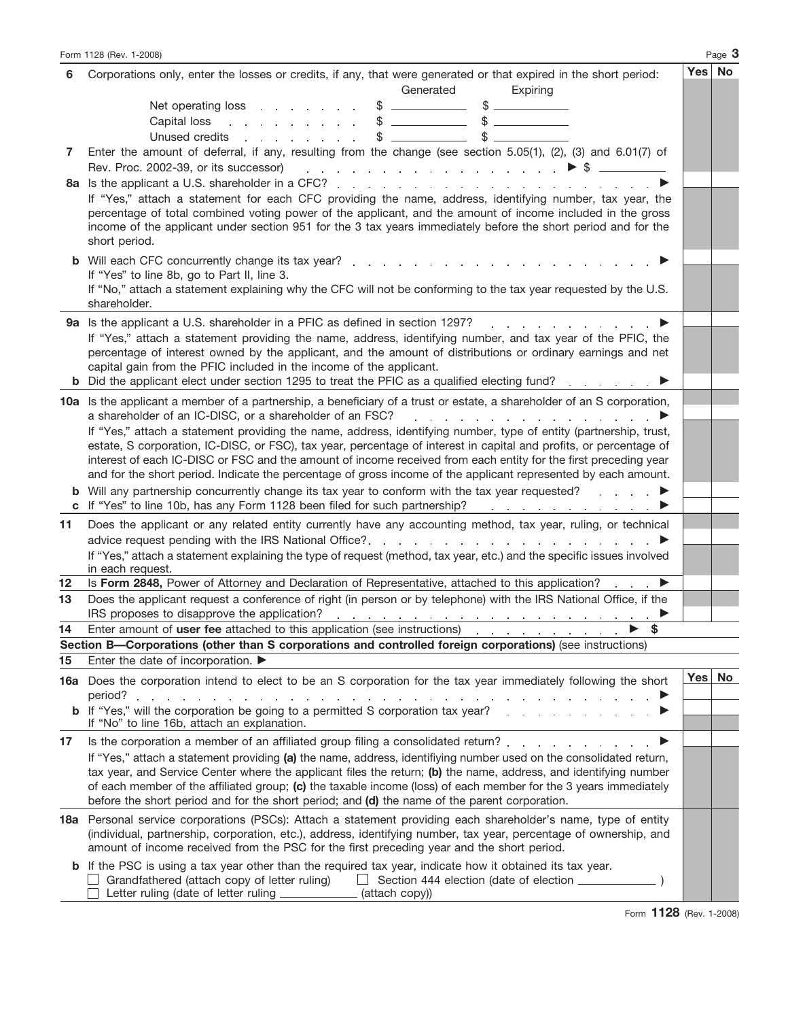|    | Form 1128 (Rev. 1-2008)                                                                                                                                                                                                                                                                                                                                                                                                                                                        |          | Page 3 |
|----|--------------------------------------------------------------------------------------------------------------------------------------------------------------------------------------------------------------------------------------------------------------------------------------------------------------------------------------------------------------------------------------------------------------------------------------------------------------------------------|----------|--------|
| 6  | Corporations only, enter the losses or credits, if any, that were generated or that expired in the short period:<br>Generated<br>Expiring                                                                                                                                                                                                                                                                                                                                      | Yes   No |        |
|    | Net operating loss example that we have a set of the set of the set of the set of the set of the set of the set of the set of the set of the set of the set of the set of the set of the set of the set of the set of the set<br>\$<br>$\frac{1}{2}$ and $\frac{1}{2}$ and $\frac{1}{2}$ and $\frac{1}{2}$ and $\frac{1}{2}$<br>$\mathbb{S}$<br>$\frac{1}{2}$<br>Capital loss<br>and the company of the state<br>\$<br>Unused credits<br>\$<br>and a state of the state of the |          |        |
| 7  | Enter the amount of deferral, if any, resulting from the change (see section $5.05(1)$ , (2), (3) and $6.01(7)$ of<br>Rev. Proc. 2002-39, or its successor)                                                                                                                                                                                                                                                                                                                    |          |        |
|    | 8a Is the applicant a U.S. shareholder in a CFC?<br>If "Yes," attach a statement for each CFC providing the name, address, identifying number, tax year, the<br>percentage of total combined voting power of the applicant, and the amount of income included in the gross<br>income of the applicant under section 951 for the 3 tax years immediately before the short period and for the<br>short period.                                                                   |          |        |
|    | If "Yes" to line 8b, go to Part II, line 3.<br>If "No," attach a statement explaining why the CFC will not be conforming to the tax year requested by the U.S.<br>shareholder.                                                                                                                                                                                                                                                                                                 |          |        |
|    | 9a Is the applicant a U.S. shareholder in a PFIC as defined in section 1297?<br>design and a strain and a strain and<br>If "Yes," attach a statement providing the name, address, identifying number, and tax year of the PFIC, the<br>percentage of interest owned by the applicant, and the amount of distributions or ordinary earnings and net<br>capital gain from the PFIC included in the income of the applicant.                                                      |          |        |
|    | 10a Is the applicant a member of a partnership, a beneficiary of a trust or estate, a shareholder of an S corporation,<br>a shareholder of an IC-DISC, or a shareholder of an FSC?<br>design and the state of the state of the state of the state of the state of the state of the state of the state of the state of the state of the state of the state of the state of the state of the state of the state of the                                                           |          |        |
|    | If "Yes," attach a statement providing the name, address, identifying number, type of entity (partnership, trust,<br>estate, S corporation, IC-DISC, or FSC), tax year, percentage of interest in capital and profits, or percentage of<br>interest of each IC-DISC or FSC and the amount of income received from each entity for the first preceding year<br>and for the short period. Indicate the percentage of gross income of the applicant represented by each amount.   |          |        |
|    | <b>b</b> Will any partnership concurrently change its tax year to conform with the tax year requested?<br>and the state of the<br>c If "Yes" to line 10b, has any Form 1128 been filed for such partnership?                                                                                                                                                                                                                                                                   |          |        |
| 11 | Does the applicant or any related entity currently have any accounting method, tax year, ruling, or technical<br>If "Yes," attach a statement explaining the type of request (method, tax year, etc.) and the specific issues involved<br>in each request.                                                                                                                                                                                                                     |          |        |
| 12 | Is Form 2848, Power of Attorney and Declaration of Representative, attached to this application?<br>▶                                                                                                                                                                                                                                                                                                                                                                          |          |        |
| 13 | Does the applicant request a conference of right (in person or by telephone) with the IRS National Office, if the<br>IRS proposes to disapprove the application?<br>the contract of the contract of the contract of the contract of the contract of                                                                                                                                                                                                                            |          |        |
| 14 | \$<br>Enter amount of user fee attached to this application (see instructions)<br>and the company of the state of                                                                                                                                                                                                                                                                                                                                                              |          |        |
|    | Section B-Corporations (other than S corporations and controlled foreign corporations) (see instructions)                                                                                                                                                                                                                                                                                                                                                                      |          |        |
| 15 | Enter the date of incorporation. ▶                                                                                                                                                                                                                                                                                                                                                                                                                                             | Yes No   |        |
|    | 16a Does the corporation intend to elect to be an S corporation for the tax year immediately following the short<br><b>b</b> If "Yes," will the corporation be going to a permitted S corporation tax year?                                                                                                                                                                                                                                                                    |          |        |
|    | If "No" to line 16b, attach an explanation.                                                                                                                                                                                                                                                                                                                                                                                                                                    |          |        |
| 17 | Is the corporation a member of an affiliated group filing a consolidated return?<br>If "Yes," attach a statement providing (a) the name, address, identifiying number used on the consolidated return,                                                                                                                                                                                                                                                                         |          |        |
|    | tax year, and Service Center where the applicant files the return; (b) the name, address, and identifying number<br>of each member of the affiliated group; (c) the taxable income (loss) of each member for the 3 years immediately<br>before the short period and for the short period; and (d) the name of the parent corporation.                                                                                                                                          |          |        |
|    | 18a Personal service corporations (PSCs): Attach a statement providing each shareholder's name, type of entity<br>(individual, partnership, corporation, etc.), address, identifying number, tax year, percentage of ownership, and<br>amount of income received from the PSC for the first preceding year and the short period.                                                                                                                                               |          |        |
|    | <b>b</b> If the PSC is using a tax year other than the required tax year, indicate how it obtained its tax year.<br>Grandfathered (attach copy of letter ruling)<br>Letter ruling (date of letter ruling __________<br>(attach copy))                                                                                                                                                                                                                                          |          |        |

Form **1128** (Rev. 1-2008)